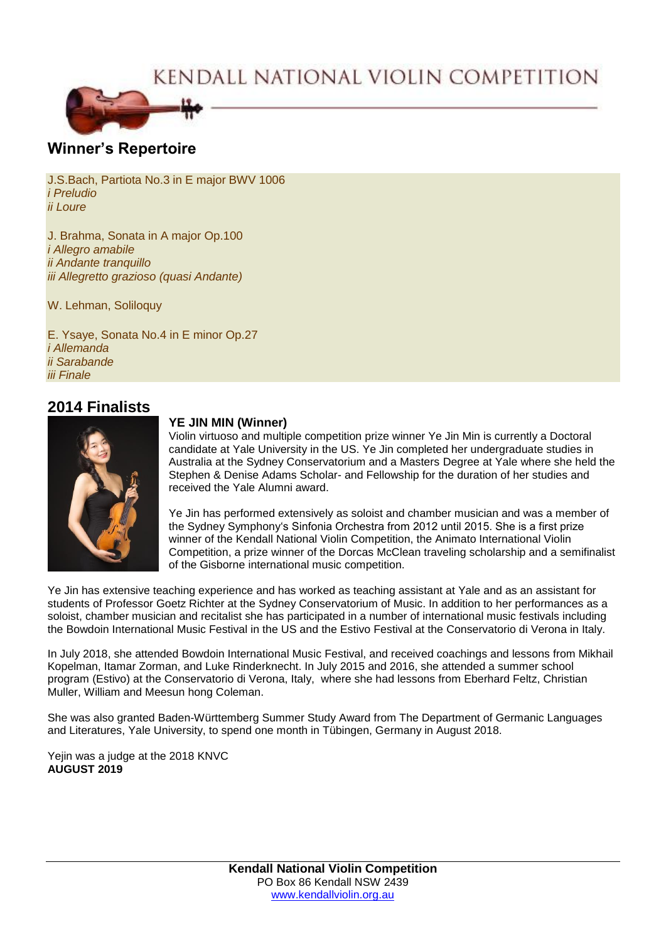# KENDALL NATIONAL VIOLIN COMPETITION



## **Winner's Repertoire**

J.S.Bach, Partiota No.3 in E major BWV 1006 *i Preludio ii Loure*

J. Brahma, Sonata in A major Op.100 *i Allegro amabile ii Andante tranquillo iii Allegretto grazioso (quasi Andante)*

W. Lehman, Soliloquy

E. Ysaye, Sonata No.4 in E minor Op.27 *i Allemanda ii Sarabande iii Finale*

## **2014 Finalists**



#### **YE JIN MIN (Winner)**

Violin virtuoso and multiple competition prize winner Ye Jin Min is currently a Doctoral candidate at Yale University in the US. Ye Jin completed her undergraduate studies in Australia at the Sydney Conservatorium and a Masters Degree at Yale where she held the Stephen & Denise Adams Scholar- and Fellowship for the duration of her studies and received the Yale Alumni award.

Ye Jin has performed extensively as soloist and chamber musician and was a member of the Sydney Symphony's Sinfonia Orchestra from 2012 until 2015. She is a first prize winner of the Kendall National Violin Competition, the Animato International Violin Competition, a prize winner of the Dorcas McClean traveling scholarship and a semifinalist of the Gisborne international music competition.

Ye Jin has extensive teaching experience and has worked as teaching assistant at Yale and as an assistant for students of Professor Goetz Richter at the Sydney Conservatorium of Music. In addition to her performances as a soloist, chamber musician and recitalist she has participated in a number of international music festivals including the Bowdoin International Music Festival in the US and the Estivo Festival at the Conservatorio di Verona in Italy.

In July 2018, she attended Bowdoin International Music Festival, and received coachings and lessons from Mikhail Kopelman, Itamar Zorman, and Luke Rinderknecht. In July 2015 and 2016, she attended a summer school program (Estivo) at the Conservatorio di Verona, Italy, where she had lessons from Eberhard Feltz, Christian Muller, William and Meesun hong Coleman.

She was also granted Baden-Württemberg Summer Study Award from The Department of Germanic Languages and Literatures, Yale University, to spend one month in Tübingen, Germany in August 2018.

Yejin was a judge at the 2018 KNVC **AUGUST 2019**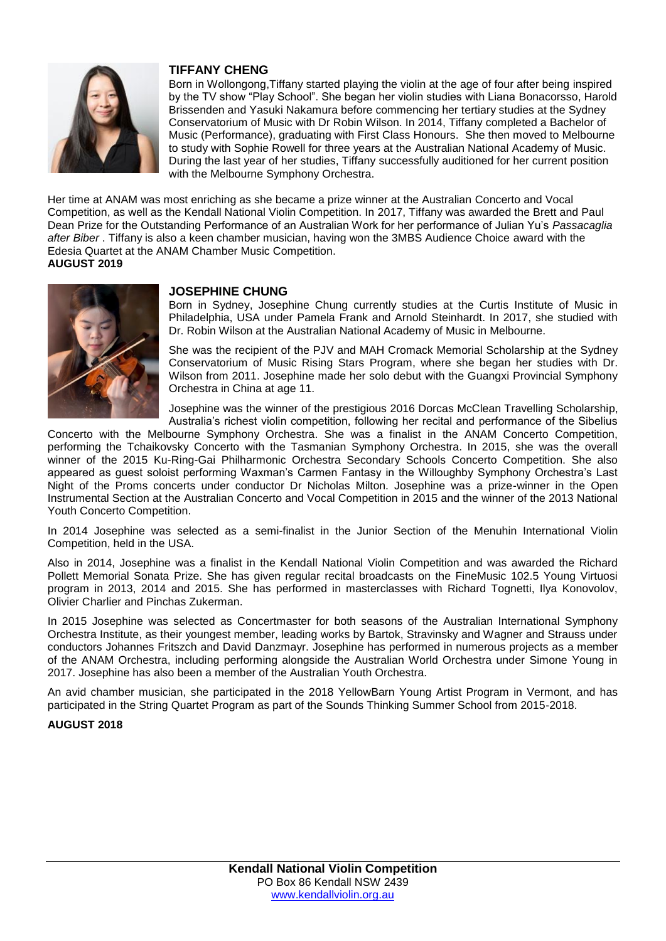

#### **TIFFANY CHENG**

Born in Wollongong,Tiffany started playing the violin at the age of four after being inspired by the TV show "Play School". She began her violin studies with Liana Bonacorsso, Harold Brissenden and Yasuki Nakamura before commencing her tertiary studies at the Sydney Conservatorium of Music with Dr Robin Wilson. In 2014, Tiffany completed a Bachelor of Music (Performance), graduating with First Class Honours. She then moved to Melbourne to study with Sophie Rowell for three years at the Australian National Academy of Music. During the last year of her studies, Tiffany successfully auditioned for her current position with the Melbourne Symphony Orchestra.

Her time at ANAM was most enriching as she became a prize winner at the Australian Concerto and Vocal Competition, as well as the Kendall National Violin Competition. In 2017, Tiffany was awarded the Brett and Paul Dean Prize for the Outstanding Performance of an Australian Work for her performance of Julian Yu's *Passacaglia after Biber* . Tiffany is also a keen chamber musician, having won the 3MBS Audience Choice award with the Edesia Quartet at the ANAM Chamber Music Competition. **AUGUST 2019**



#### **JOSEPHINE CHUNG**

Born in Sydney, Josephine Chung currently studies at the Curtis Institute of Music in Philadelphia, USA under Pamela Frank and Arnold Steinhardt. In 2017, she studied with Dr. Robin Wilson at the Australian National Academy of Music in Melbourne.

She was the recipient of the PJV and MAH Cromack Memorial Scholarship at the Sydney Conservatorium of Music Rising Stars Program, where she began her studies with Dr. Wilson from 2011. Josephine made her solo debut with the Guangxi Provincial Symphony Orchestra in China at age 11.

Josephine was the winner of the prestigious 2016 Dorcas McClean Travelling Scholarship, Australia's richest violin competition, following her recital and performance of the Sibelius

Concerto with the Melbourne Symphony Orchestra. She was a finalist in the ANAM Concerto Competition, performing the Tchaikovsky Concerto with the Tasmanian Symphony Orchestra. In 2015, she was the overall winner of the 2015 Ku-Ring-Gai Philharmonic Orchestra Secondary Schools Concerto Competition. She also appeared as guest soloist performing Waxman's Carmen Fantasy in the Willoughby Symphony Orchestra's Last Night of the Proms concerts under conductor Dr Nicholas Milton. Josephine was a prize-winner in the Open Instrumental Section at the Australian Concerto and Vocal Competition in 2015 and the winner of the 2013 National Youth Concerto Competition.

In 2014 Josephine was selected as a semi-finalist in the Junior Section of the Menuhin International Violin Competition, held in the USA.

Also in 2014, Josephine was a finalist in the Kendall National Violin Competition and was awarded the Richard Pollett Memorial Sonata Prize. She has given regular recital broadcasts on the FineMusic 102.5 Young Virtuosi program in 2013, 2014 and 2015. She has performed in masterclasses with Richard Tognetti, Ilya Konovolov, Olivier Charlier and Pinchas Zukerman.

In 2015 Josephine was selected as Concertmaster for both seasons of the Australian International Symphony Orchestra Institute, as their youngest member, leading works by Bartok, Stravinsky and Wagner and Strauss under conductors Johannes Fritszch and David Danzmayr. Josephine has performed in numerous projects as a member of the ANAM Orchestra, including performing alongside the Australian World Orchestra under Simone Young in 2017. Josephine has also been a member of the Australian Youth Orchestra.

An avid chamber musician, she participated in the 2018 YellowBarn Young Artist Program in Vermont, and has participated in the String Quartet Program as part of the Sounds Thinking Summer School from 2015-2018.

#### **AUGUST 2018**